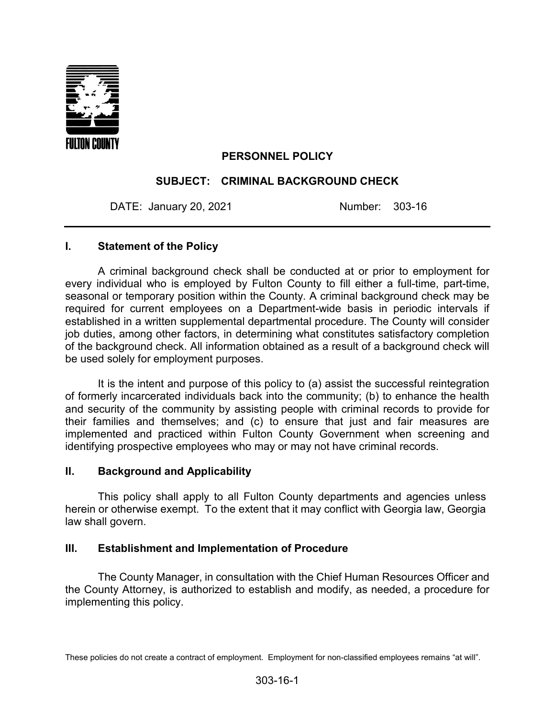

## **PERSONNEL POLICY**

## **SUBJECT: CRIMINAL BACKGROUND CHECK**

DATE: January 20, 2021 Number: 303-16

#### **I. Statement of the Policy**

A criminal background check shall be conducted at or prior to employment for every individual who is employed by Fulton County to fill either a full-time, part-time, seasonal or temporary position within the County. A criminal background check may be required for current employees on a Department-wide basis in periodic intervals if established in a written supplemental departmental procedure. The County will consider job duties, among other factors, in determining what constitutes satisfactory completion of the background check. All information obtained as a result of a background check will be used solely for employment purposes.

It is the intent and purpose of this policy to (a) assist the successful reintegration of formerly incarcerated individuals back into the community; (b) to enhance the health and security of the community by assisting people with criminal records to provide for their families and themselves; and (c) to ensure that just and fair measures are implemented and practiced within Fulton County Government when screening and identifying prospective employees who may or may not have criminal records.

## **II. Background and Applicability**

This policy shall apply to all Fulton County departments and agencies unless herein or otherwise exempt. To the extent that it may conflict with Georgia law, Georgia law shall govern.

## **III. Establishment and Implementation of Procedure**

The County Manager, in consultation with the Chief Human Resources Officer and the County Attorney, is authorized to establish and modify, as needed, a procedure for implementing this policy.

These policies do not create a contract of employment. Employment for non-classified employees remains "at will".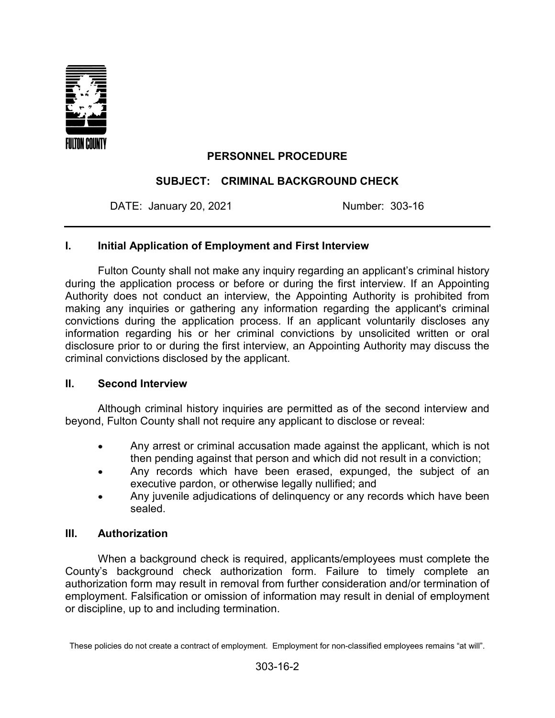

# **PERSONNEL PROCEDURE**

## **SUBJECT: CRIMINAL BACKGROUND CHECK**

DATE: January 20, 2021 Mumber: 303-16

## **I. Initial Application of Employment and First Interview**

Fulton County shall not make any inquiry regarding an applicant's criminal history during the application process or before or during the first interview. If an Appointing Authority does not conduct an interview, the Appointing Authority is prohibited from making any inquiries or gathering any information regarding the applicant's criminal convictions during the application process. If an applicant voluntarily discloses any information regarding his or her criminal convictions by unsolicited written or oral disclosure prior to or during the first interview, an Appointing Authority may discuss the criminal convictions disclosed by the applicant.

#### **II. Second Interview**

Although criminal history inquiries are permitted as of the second interview and beyond, Fulton County shall not require any applicant to disclose or reveal:

- Any arrest or criminal accusation made against the applicant, which is not then pending against that person and which did not result in a conviction;
- Any records which have been erased, expunged, the subject of an executive pardon, or otherwise legally nullified; and
- Any juvenile adjudications of delinguency or any records which have been sealed.

## **III. Authorization**

When a background check is required, applicants/employees must complete the County's background check authorization form. Failure to timely complete an authorization form may result in removal from further consideration and/or termination of employment. Falsification or omission of information may result in denial of employment or discipline, up to and including termination.

These policies do not create a contract of employment. Employment for non-classified employees remains "at will".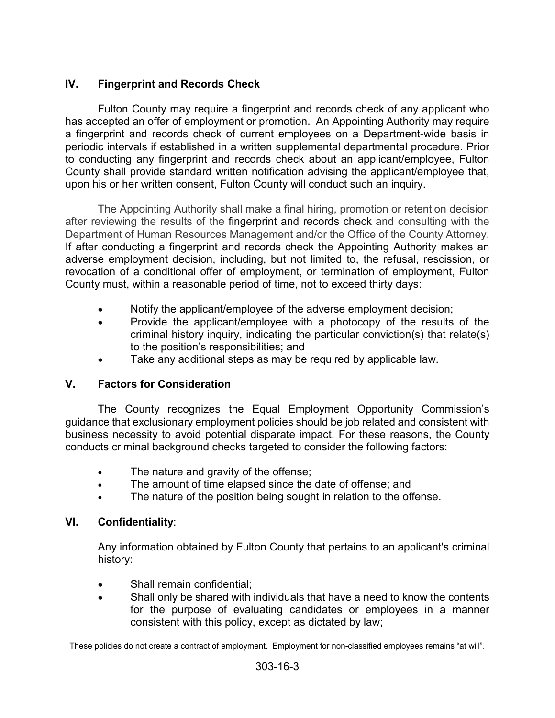# **IV. Fingerprint and Records Check**

Fulton County may require a fingerprint and records check of any applicant who has accepted an offer of employment or promotion. An Appointing Authority may require a fingerprint and records check of current employees on a Department-wide basis in periodic intervals if established in a written supplemental departmental procedure. Prior to conducting any fingerprint and records check about an applicant/employee, Fulton County shall provide standard written notification advising the applicant/employee that, upon his or her written consent, Fulton County will conduct such an inquiry.

The Appointing Authority shall make a final hiring, promotion or retention decision after reviewing the results of the fingerprint and records check and consulting with the Department of Human Resources Management and/or the Office of the County Attorney. If after conducting a fingerprint and records check the Appointing Authority makes an adverse employment decision, including, but not limited to, the refusal, rescission, or revocation of a conditional offer of employment, or termination of employment, Fulton County must, within a reasonable period of time, not to exceed thirty days:

- Notify the applicant/employee of the adverse employment decision;
- Provide the applicant/employee with a photocopy of the results of the criminal history inquiry, indicating the particular conviction(s) that relate(s) to the position's responsibilities; and
- Take any additional steps as may be required by applicable law.

## **V. Factors for Consideration**

The County recognizes the Equal Employment Opportunity Commission's guidance that exclusionary employment policies should be job related and consistent with business necessity to avoid potential disparate impact. For these reasons, the County conducts criminal background checks targeted to consider the following factors:

- The nature and gravity of the offense;
- The amount of time elapsed since the date of offense; and
- The nature of the position being sought in relation to the offense.

## **VI. Confidentiality**:

Any information obtained by Fulton County that pertains to an applicant's criminal history:

- Shall remain confidential:
- Shall only be shared with individuals that have a need to know the contents for the purpose of evaluating candidates or employees in a manner consistent with this policy, except as dictated by law;

These policies do not create a contract of employment. Employment for non-classified employees remains "at will".